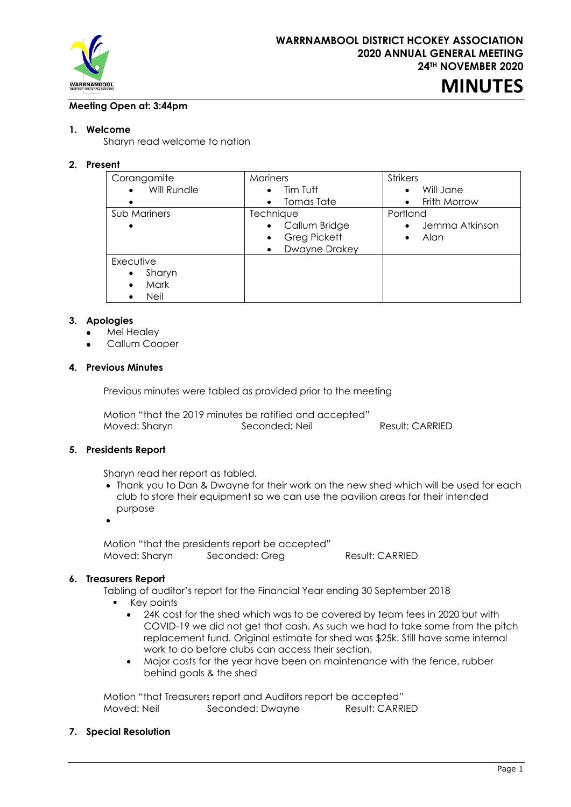

# **MINUTES**

## **Meeting Open at: 3:44pm**

## **1. Welcome**

Sharyn read welcome to nation

## **2. Present**

| Corangamite<br>Will Rundle<br>٠<br>$\bullet$               | Mariners<br>Tim Tutt<br>$\bullet$<br>Tomas Tate<br>$\bullet$                                       | <b>Strikers</b><br>Will Jane<br>٠<br>Frith Morrow<br>$\bullet$ |
|------------------------------------------------------------|----------------------------------------------------------------------------------------------------|----------------------------------------------------------------|
| Sub Mariners<br>$\bullet$                                  | Technique<br>Callum Bridge<br>$\bullet$<br>Greg Pickett<br>$\bullet$<br>Dwayne Drakey<br>$\bullet$ | Portland<br>Jemma Atkinson<br>$\bullet$<br>Alan<br>٠           |
| Executive<br>Sharyn<br>$\bullet$<br>Mark<br>٠<br>Neil<br>٠ |                                                                                                    |                                                                |

#### **3. Apologies**

- Mel Healey
- Callum Cooper

#### **4. Previous Minutes**

Previous minutes were tabled as provided prior to the meeting

Motion "that the 2019 minutes be ratified and accepted" Moved: Sharyn Seconded: Neil Result: CARRIED

#### **5. Presidents Report**

Sharyn read her report as tabled.

- Thank you to Dan & Dwayne for their work on the new shed which will be used for each club to store their equipment so we can use the pavilion areas for their intended purpose
- •

Motion "that the presidents report be accepted" Moved: Sharyn Seconded: Greg Result: CARRIED

## **6. Treasurers Report**

Tabling of auditor's report for the Financial Year ending 30 September 2018

- Key points
	- 24K cost for the shed which was to be covered by team fees in 2020 but with COVID-19 we did not get that cash. As such we had to take some from the pitch replacement fund. Original estimate for shed was \$25k. Still have some internal work to do before clubs can access their section.
	- Major costs for the year have been on maintenance with the fence, rubber behind goals & the shed

Motion "that Treasurers report and Auditors report be accepted" Moved: Neil Seconded: Dwayne Result: CARRIED

## **7. Special Resolution**